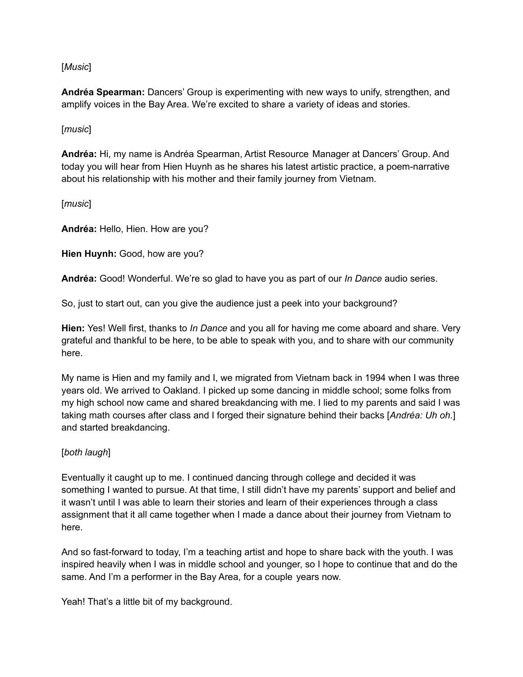## [*Music*]

**Andréa Spearman:** Dancers' Group is experimenting with new ways to unify, strengthen, and amplify voices in the Bay Area. We're excited to share a variety of ideas and stories.

## [*music*]

**Andréa:** Hi, my name is Andréa Spearman, Artist Resource Manager at Dancers' Group. And today you will hear from Hien Huynh as he shares his latest artistic practice, a poem-narrative about his relationship with his mother and their family journey from Vietnam.

[*music*]

**Andréa:** Hello, Hien. How are you?

**Hien Huynh:** Good, how are you?

**Andréa:** Good! Wonderful. We're so glad to have you as part of our *In Dance* audio series.

So, just to start out, can you give the audience just a peek into your background?

**Hien:** Yes! Well first, thanks to *In Dance* and you all for having me come aboard and share. Very grateful and thankful to be here, to be able to speak with you, and to share with our community here.

My name is Hien and my family and I, we migrated from Vietnam back in 1994 when I was three years old. We arrived to Oakland. I picked up some dancing in middle school; some folks from my high school now came and shared breakdancing with me. I lied to my parents and said I was taking math courses after class and I forged their signature behind their backs [*Andréa: Uh oh.*] and started breakdancing.

## [*both laugh*]

Eventually it caught up to me. I continued dancing through college and decided it was something I wanted to pursue. At that time, I still didn't have my parents' support and belief and it wasn't until I was able to learn their stories and learn of their experiences through a class assignment that it all came together when I made a dance about their journey from Vietnam to here.

And so fast-forward to today, I'm a teaching artist and hope to share back with the youth. I was inspired heavily when I was in middle school and younger, so I hope to continue that and do the same. And I'm a performer in the Bay Area, for a couple years now.

Yeah! That's a little bit of my background.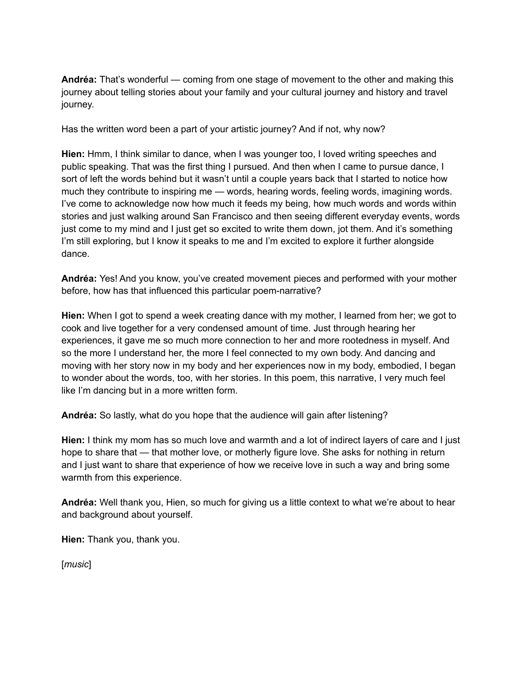**Andréa:** That's wonderful — coming from one stage of movement to the other and making this journey about telling stories about your family and your cultural journey and history and travel journey.

Has the written word been a part of your artistic journey? And if not, why now?

**Hien:** Hmm, I think similar to dance, when I was younger too, I loved writing speeches and public speaking. That was the first thing I pursued. And then when I came to pursue dance, I sort of left the words behind but it wasn't until a couple years back that I started to notice how much they contribute to inspiring me — words, hearing words, feeling words, imagining words. I've come to acknowledge now how much it feeds my being, how much words and words within stories and just walking around San Francisco and then seeing different everyday events, words just come to my mind and I just get so excited to write them down, jot them. And it's something I'm still exploring, but I know it speaks to me and I'm excited to explore it further alongside dance.

**Andréa:** Yes! And you know, you've created movement pieces and performed with your mother before, how has that influenced this particular poem-narrative?

**Hien:** When I got to spend a week creating dance with my mother, I learned from her; we got to cook and live together for a very condensed amount of time. Just through hearing her experiences, it gave me so much more connection to her and more rootedness in myself. And so the more I understand her, the more I feel connected to my own body. And dancing and moving with her story now in my body and her experiences now in my body, embodied, I began to wonder about the words, too, with her stories. In this poem, this narrative, I very much feel like I'm dancing but in a more written form.

**Andréa:** So lastly, what do you hope that the audience will gain after listening?

**Hien:** I think my mom has so much love and warmth and a lot of indirect layers of care and I just hope to share that — that mother love, or motherly figure love. She asks for nothing in return and I just want to share that experience of how we receive love in such a way and bring some warmth from this experience.

**Andréa:** Well thank you, Hien, so much for giving us a little context to what we're about to hear and background about yourself.

**Hien:** Thank you, thank you.

[*music*]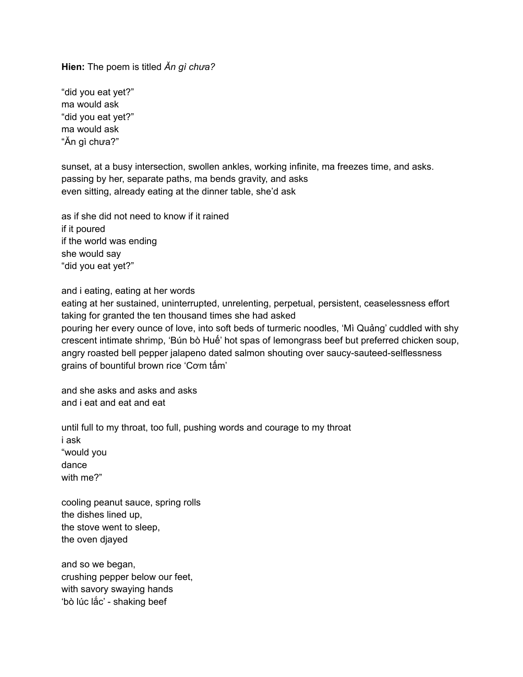**Hien:** The poem is titled *Ăn gì chưa?*

"did you eat yet?" ma would ask "did you eat yet?" ma would ask "Ăn gì chưa?"

sunset, at a busy intersection, swollen ankles, working infinite, ma freezes time, and asks. passing by her, separate paths, ma bends gravity, and asks even sitting, already eating at the dinner table, she'd ask

as if she did not need to know if it rained if it poured if the world was ending she would say "did you eat yet?"

and i eating, eating at her words

eating at her sustained, uninterrupted, unrelenting, perpetual, persistent, ceaselessness effort taking for granted the ten thousand times she had asked pouring her every ounce of love, into soft beds of turmeric noodles, 'Mì Quảng' cuddled with shy crescent intimate shrimp, 'Bún bò Huế' hot spas of lemongrass beef but preferred chicken soup, angry roasted bell pepper jalapeno dated salmon shouting over saucy-sauteed-selflessness grains of bountiful brown rice 'Cơm tấm'

and she asks and asks and asks and i eat and eat and eat

until full to my throat, too full, pushing words and courage to my throat i ask "would you dance with me?"

cooling peanut sauce, spring rolls the dishes lined up, the stove went to sleep, the oven djayed

and so we began, crushing pepper below our feet, with savory swaying hands 'bò lúc lắc' - shaking beef